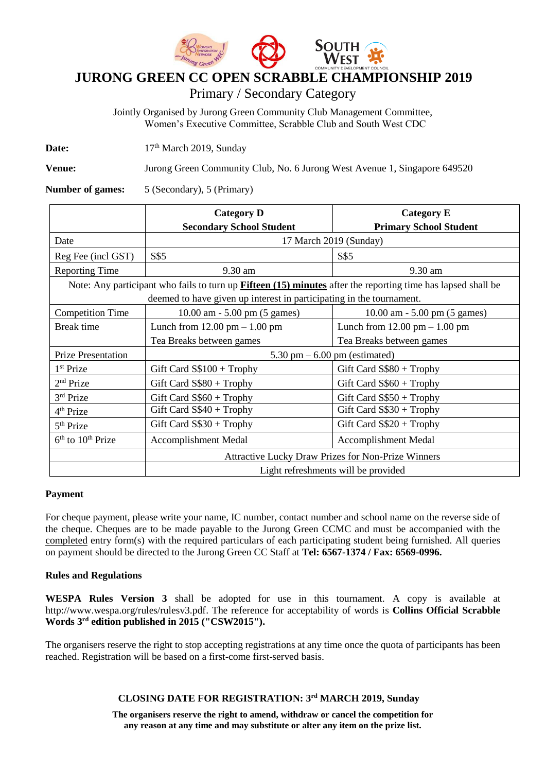

# **JURONG GREEN CC OPEN SCRABBLE CHAMPIONSHIP 2019**

Primary / Secondary Category

Jointly Organised by Jurong Green Community Club Management Committee, Women's Executive Committee, Scrabble Club and South West CDC

Date: 17<sup>th</sup> March 2019, Sunday

**Venue:** Jurong Green Community Club, No. 6 Jurong West Avenue 1, Singapore 649520

**Number of games:** 5 (Secondary), 5 (Primary)

|                                                                                                                     | <b>Category D</b><br><b>Category E</b>                    |                                                 |  |  |  |  |  |
|---------------------------------------------------------------------------------------------------------------------|-----------------------------------------------------------|-------------------------------------------------|--|--|--|--|--|
|                                                                                                                     | <b>Secondary School Student</b>                           | <b>Primary School Student</b>                   |  |  |  |  |  |
| Date                                                                                                                | 17 March 2019 (Sunday)                                    |                                                 |  |  |  |  |  |
| Reg Fee (incl GST)                                                                                                  | S\$5                                                      | S\$5                                            |  |  |  |  |  |
| <b>Reporting Time</b>                                                                                               | 9.30 am                                                   | 9.30 am                                         |  |  |  |  |  |
| Note: Any participant who fails to turn up <b>Fifteen (15) minutes</b> after the reporting time has lapsed shall be |                                                           |                                                 |  |  |  |  |  |
| deemed to have given up interest in participating in the tournament.                                                |                                                           |                                                 |  |  |  |  |  |
| <b>Competition Time</b>                                                                                             | $10.00$ am $- 5.00$ pm $(5$ games)                        | $10.00$ am $-5.00$ pm $(5$ games)               |  |  |  |  |  |
| Break time                                                                                                          | Lunch from $12.00 \text{ pm} - 1.00 \text{ pm}$           | Lunch from $12.00 \text{ pm} - 1.00 \text{ pm}$ |  |  |  |  |  |
|                                                                                                                     | Tea Breaks between games                                  | Tea Breaks between games                        |  |  |  |  |  |
| <b>Prize Presentation</b>                                                                                           | 5.30 pm $-6.00$ pm (estimated)                            |                                                 |  |  |  |  |  |
| $1st$ Prize                                                                                                         | Gift Card $S$100 + Trophy$                                | Gift Card $S$ \$80 + Trophy                     |  |  |  |  |  |
| $2nd$ Prize                                                                                                         | Gift Card $S\$80 + Trophy$                                | Gift Card $S\$ 60 + Trophy                      |  |  |  |  |  |
| 3rd Prize                                                                                                           | Gift Card $S\$ 60 + Trophy                                | Gift Card $S$50 + Trophy$                       |  |  |  |  |  |
| 4 <sup>th</sup> Prize                                                                                               | Gift Card $S$40 + Trophy$                                 | Gift Card $S\$30 + Trophy$                      |  |  |  |  |  |
| 5 <sup>th</sup> Prize                                                                                               | Gift Card $S\$30 + Trophy$                                | Gift Card $S$20 + Trophy$                       |  |  |  |  |  |
| $6th$ to $10th$ Prize                                                                                               | Accomplishment Medal                                      | Accomplishment Medal                            |  |  |  |  |  |
|                                                                                                                     | <b>Attractive Lucky Draw Prizes for Non-Prize Winners</b> |                                                 |  |  |  |  |  |
|                                                                                                                     | Light refreshments will be provided                       |                                                 |  |  |  |  |  |

### **Payment**

For cheque payment, please write your name, IC number, contact number and school name on the reverse side of the cheque. Cheques are to be made payable to the Jurong Green CCMC and must be accompanied with the completed entry form(s) with the required particulars of each participating student being furnished. All queries on payment should be directed to the Jurong Green CC Staff at **Tel: 6567-1374 / Fax: 6569-0996.**

### **Rules and Regulations**

**WESPA Rules Version 3** shall be adopted for use in this tournament. A copy is available at http://www.wespa.org/rules/rulesv3.pdf. The reference for acceptability of words is **Collins Official Scrabble Words 3rd edition published in 2015 ("CSW2015").**

The organisers reserve the right to stop accepting registrations at any time once the quota of participants has been reached. Registration will be based on a first-come first-served basis.

## **CLOSING DATE FOR REGISTRATION: 3 rd MARCH 2019, Sunday**

**The organisers reserve the right to amend, withdraw or cancel the competition for any reason at any time and may substitute or alter any item on the prize list.**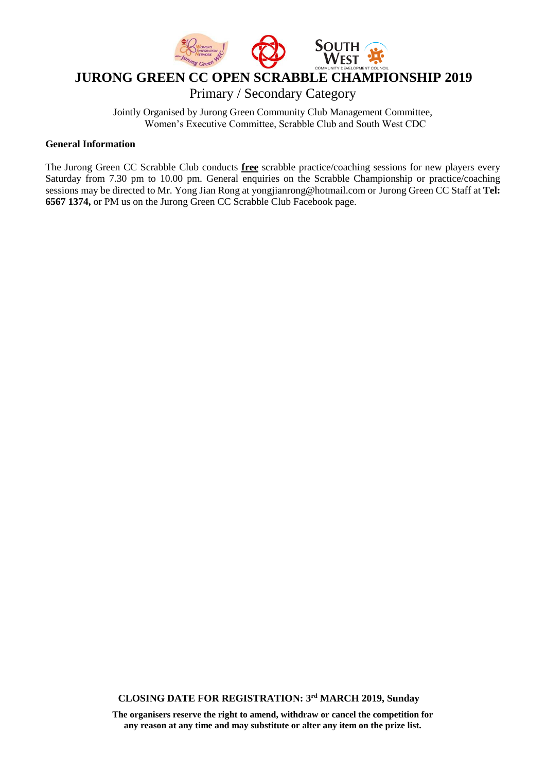

# **JURONG GREEN CC OPEN SCRABBLE CHAMPIONSHIP 2019**

Primary / Secondary Category

Jointly Organised by Jurong Green Community Club Management Committee, Women's Executive Committee, Scrabble Club and South West CDC

### **General Information**

The Jurong Green CC Scrabble Club conducts **free** scrabble practice/coaching sessions for new players every Saturday from 7.30 pm to 10.00 pm. General enquiries on the Scrabble Championship or practice/coaching sessions may be directed to Mr. Yong Jian Rong at yongjianrong@hotmail.com or Jurong Green CC Staff at **Tel: 6567 1374,** or PM us on the Jurong Green CC Scrabble Club Facebook page.

**CLOSING DATE FOR REGISTRATION: 3 rd MARCH 2019, Sunday**

**The organisers reserve the right to amend, withdraw or cancel the competition for any reason at any time and may substitute or alter any item on the prize list.**